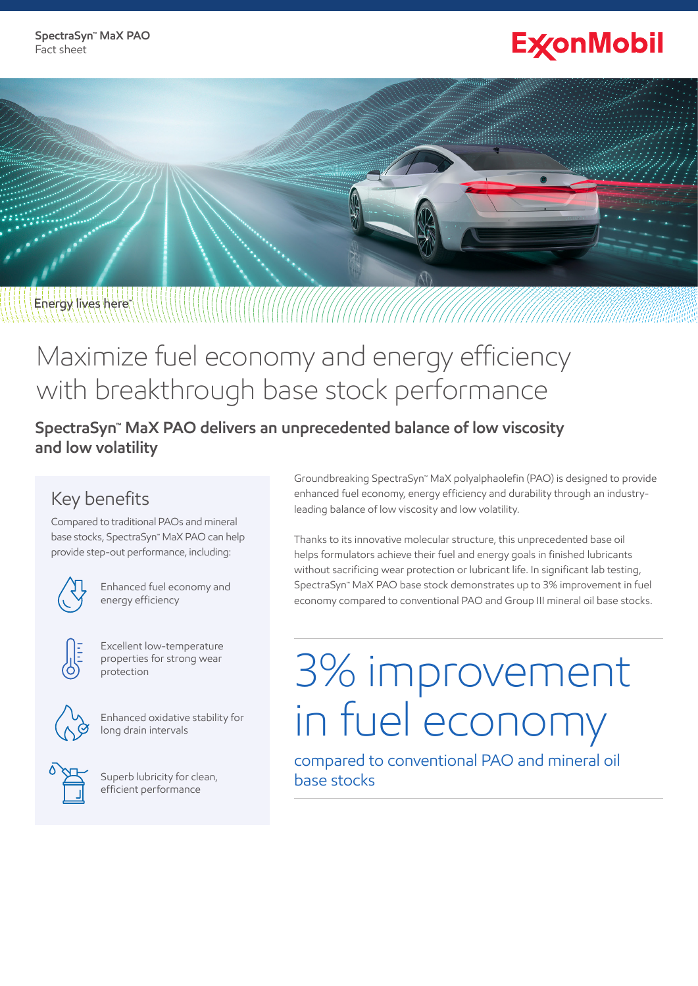# **ExconMobil**

# Energy lives here

## Maximize fuel economy and energy efficiency with breakthrough base stock performance

**SpectraSyn™ MaX PAO delivers an unprecedented balance of low viscosity and low volatility**

### Key benefits

Compared to traditional PAOs and mineral base stocks, SpectraSyn™ MaX PAO can help provide step-out performance, including:



Enhanced fuel economy and energy efficiency



Excellent low-temperature properties for strong wear protection



Enhanced oxidative stability for long drain intervals



Superb lubricity for clean, efficient performance

Groundbreaking SpectraSyn™ MaX polyalphaolefin (PAO) is designed to provide enhanced fuel economy, energy efficiency and durability through an industryleading balance of low viscosity and low volatility.

Thanks to its innovative molecular structure, this unprecedented base oil helps formulators achieve their fuel and energy goals in finished lubricants without sacrificing wear protection or lubricant life. In significant lab testing, SpectraSyn™ MaX PAO base stock demonstrates up to 3% improvement in fuel economy compared to conventional PAO and Group III mineral oil base stocks.

# 3% improvement in fuel economy

compared to conventional PAO and mineral oil base stocks